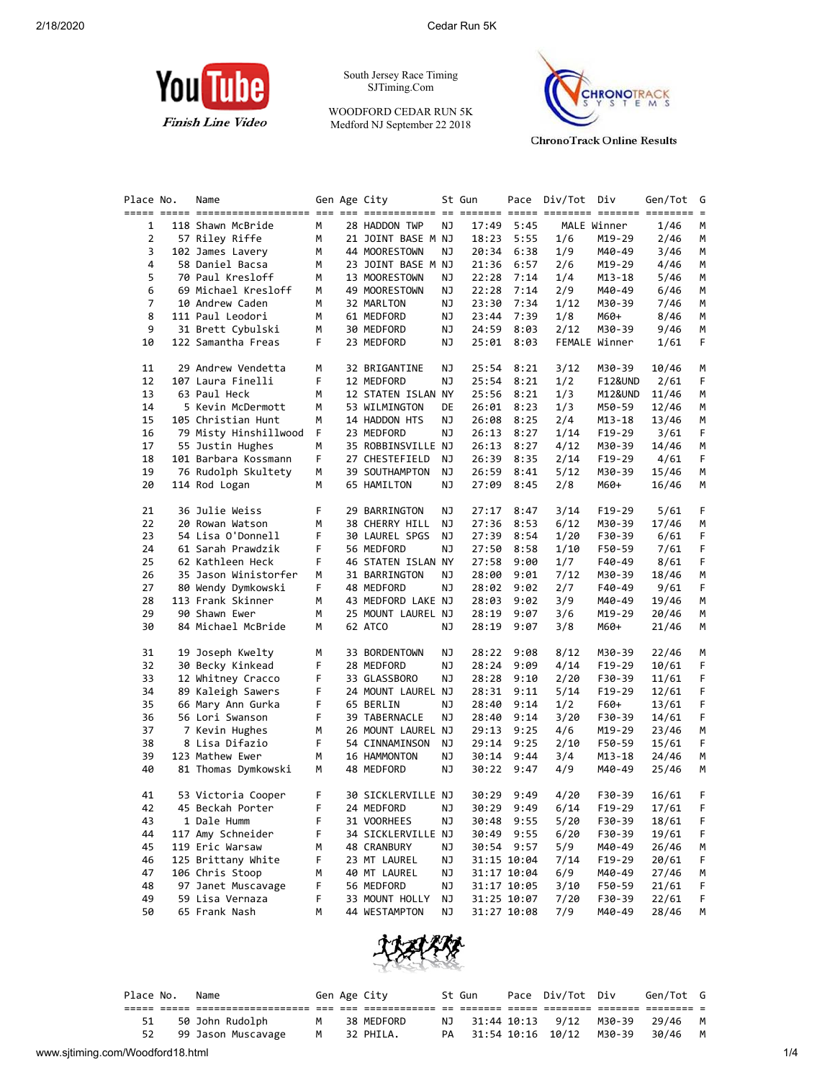

South Jersey Race Timing SJTiming.Com

WOODFORD CEDAR RUN 5K Medford NJ September 22 2018



**ChronoTrack Online Results** 

| Place No.      | Name<br><u>soos aada aanaanaanaanaanaa oo oo aadaanaanaa oo aanaan aada aanaan aanaan aanaan aanaan s</u> |    | Gen Age City       |    | St Gun |             | Pace Div/Tot Div |               | Gen/Tot | G |
|----------------|-----------------------------------------------------------------------------------------------------------|----|--------------------|----|--------|-------------|------------------|---------------|---------|---|
| 1              | 118 Shawn McBride                                                                                         | М  | 28 HADDON TWP      | ΝJ | 17:49  | 5:45        |                  | MALE Winner   | 1/46    | М |
| 2              | 57 Riley Riffe                                                                                            | м  | 21 JOINT BASE M NJ |    | 18:23  | 5:55        | 1/6              | M19-29        | 2/46    | М |
| 3              | 102 James Lavery                                                                                          | м  | 44 MOORESTOWN      | ΝJ | 20:34  | 6:38        | 1/9              | M40-49        | 3/46    | M |
| 4              | 58 Daniel Bacsa                                                                                           | м  | 23 JOINT BASE M NJ |    | 21:36  | 6:57        | 2/6              | M19-29        | 4/46    | M |
| 5              | 70 Paul Kresloff                                                                                          | м  | 13 MOORESTOWN      | ΝJ | 22:28  | 7:14        | 1/4              | M13-18        | 5/46    | M |
| 6              | 69 Michael Kresloff                                                                                       | м  | 49 MOORESTOWN      | ΝJ | 22:28  | 7:14        | 2/9              | M40-49        | 6/46    | M |
| $\overline{7}$ | 10 Andrew Caden                                                                                           | м  | 32 MARLTON         | ΝJ | 23:30  | 7:34        | 1/12             | M30-39        | 7/46    | М |
| 8              | 111 Paul Leodori                                                                                          | м  | 61 MEDFORD         | ΝJ | 23:44  | 7:39        | 1/8              | M60+          | 8/46    | М |
| 9              | 31 Brett Cybulski                                                                                         | м  | 30 MEDFORD         | ΝJ | 24:59  | 8:03        | 2/12             | M30-39        | 9/46    | М |
| 10             | 122 Samantha Freas                                                                                        | F. | 23 MEDFORD         | ΝJ | 25:01  | 8:03        |                  | FEMALE Winner | 1/61    | F |
|                |                                                                                                           |    |                    |    |        |             |                  |               |         |   |
| 11             | 29 Andrew Vendetta                                                                                        | м  | 32 BRIGANTINE      | ΝJ | 25:54  | 8:21        | 3/12             | M30-39        | 10/46   | M |
| 12             | 107 Laura Finelli                                                                                         | F  | 12 MEDFORD         | ΝJ | 25:54  | 8:21        | 1/2              | F12&UND       | 2/61    | F |
| 13             | 63 Paul Heck                                                                                              | м  | 12 STATEN ISLAN NY |    | 25:56  | 8:21        | 1/3              | M12&UND       | 11/46   | М |
| 14             | 5 Kevin McDermott                                                                                         | м  | 53 WILMINGTON      | DE | 26:01  | 8:23        | 1/3              | M50-59        | 12/46   | M |
| 15             | 105 Christian Hunt                                                                                        | м  | 14 HADDON HTS      | ΝJ | 26:08  | 8:25        | 2/4              | M13-18        | 13/46   | M |
| 16             | 79 Misty Hinshillwood                                                                                     | F. | 23 MEDFORD         | ΝJ | 26:13  | 8:27        | 1/14             | F19-29        | 3/61    | F |
| 17             | 55 Justin Hughes                                                                                          | м  | 35 ROBBINSVILLE NJ |    | 26:13  | 8:27        | 4/12             | M30-39        | 14/46   | М |
| 18             | 101 Barbara Kossmann                                                                                      | F  | 27 CHESTEFIELD     | ΝJ | 26:39  | 8:35        | 2/14             | F19-29        | 4/61    | F |
| 19             | 76 Rudolph Skultety                                                                                       | М  | 39 SOUTHAMPTON     | ΝJ | 26:59  | 8:41        | 5/12             | M30-39        | 15/46   | М |
| 20             | 114 Rod Logan                                                                                             | м  | 65 HAMILTON        | ΝJ | 27:09  | 8:45        | 2/8              | M60+          | 16/46   | M |
|                |                                                                                                           |    |                    |    |        |             |                  |               |         |   |
| 21             | 36 Julie Weiss                                                                                            | F  | 29 BARRINGTON      | ΝJ | 27:17  | 8:47        | 3/14             | F19-29        | 5/61    | F |
| 22             | 20 Rowan Watson                                                                                           | м  | 38 CHERRY HILL     | ΝJ | 27:36  | 8:53        | 6/12             | M30-39        | 17/46   | М |
| 23             | 54 Lisa O'Donnell                                                                                         | F  | 30 LAUREL SPGS     | ΝJ | 27:39  | 8:54        | 1/20             | F30-39        | 6/61    | F |
| 24             | 61 Sarah Prawdzik                                                                                         | F  | 56 MEDFORD         | ΝJ | 27:50  | 8:58        | 1/10             | F50-59        | 7/61    | F |
| 25             | 62 Kathleen Heck                                                                                          | F  | 46 STATEN ISLAN NY |    | 27:58  | 9:00        | 1/7              | F40-49        | 8/61    | F |
| 26             | 35 Jason Winistorfer                                                                                      | м  | 31 BARRINGTON      | ΝJ | 28:00  | 9:01        | 7/12             | M30-39        | 18/46   | М |
| 27             | 80 Wendy Dymkowski                                                                                        | F. | 48 MEDFORD         | ΝJ | 28:02  | 9:02        | 2/7              | F40-49        | 9/61    | F |
| 28             | 113 Frank Skinner                                                                                         | М  | 43 MEDFORD LAKE NJ |    | 28:03  | 9:02        | 3/9              | M40-49        | 19/46   | M |
| 29             | 90 Shawn Ewer                                                                                             | м  | 25 MOUNT LAUREL NJ |    | 28:19  | 9:07        | 3/6              | M19-29        | 20/46   | М |
| 30             | 84 Michael McBride                                                                                        | м  | 62 ATCO            | ΝJ | 28:19  | 9:07        | 3/8              | M60+          | 21/46   | М |
|                |                                                                                                           |    |                    |    |        |             |                  |               |         |   |
| 31             | 19 Joseph Kwelty                                                                                          | м  | 33 BORDENTOWN      | ΝJ | 28:22  | 9:08        | 8/12             | M30-39        | 22/46   | M |
| 32             | 30 Becky Kinkead                                                                                          | F  | 28 MEDFORD         | ΝJ | 28:24  | 9:09        | 4/14             | F19-29        | 10/61   | F |
| 33             | 12 Whitney Cracco                                                                                         | F  | 33 GLASSBORO       | ΝJ | 28:28  | 9:10        | 2/20             | F30-39        | 11/61   | F |
| 34             | 89 Kaleigh Sawers                                                                                         | F  | 24 MOUNT LAUREL NJ |    | 28:31  | 9:11        | 5/14             | F19-29        | 12/61   | F |
| 35             | 66 Mary Ann Gurka                                                                                         | F  | 65 BERLIN          | ΝJ | 28:40  | 9:14        | 1/2              | F60+          | 13/61   | F |
| 36             | 56 Lori Swanson                                                                                           | F  | 39 TABERNACLE      | ΝJ | 28:40  | 9:14        | 3/20             | F30-39        | 14/61   | F |
| 37             | 7 Kevin Hughes                                                                                            | м  | 26 MOUNT LAUREL NJ |    | 29:13  | 9:25        | 4/6              | M19-29        | 23/46   | М |
| 38             | 8 Lisa Difazio                                                                                            | F  | 54 CINNAMINSON     | ΝJ | 29:14  | 9:25        | 2/10             | F50-59        | 15/61   | F |
| 39             | 123 Mathew Ewer                                                                                           | м  | 16 HAMMONTON       | ΝJ | 30:14  | 9:44        | 3/4              | M13-18        | 24/46   | M |
| 40             | 81 Thomas Dymkowski                                                                                       | М  | 48 MEDFORD         | ΝJ | 30:22  | 9:47        | 4/9              | M40-49        | 25/46   | М |
|                |                                                                                                           |    |                    |    |        |             |                  |               |         |   |
| 41             | 53 Victoria Cooper                                                                                        | F. | 30 SICKLERVILLE NJ |    | 30:29  | 9:49        | 4/20             | F30-39        | 16/61   | F |
| 42             | 45 Beckah Porter                                                                                          | F  | 24 MEDFORD         | ΝJ |        | 30:29 9:49  | 6/14             | F19-29        | 17/61   | F |
| 43             | 1 Dale Humm                                                                                               | F  | 31 VOORHEES        | ΝJ | 30:48  | 9:55        | 5/20             | F30-39        | 18/61   | F |
| 44             | 117 Amy Schneider                                                                                         | F  | 34 SICKLERVILLE NJ |    | 30:49  | 9:55        | 6/20             | F30-39        | 19/61   | F |
| 45             | 119 Eric Warsaw                                                                                           | м  | 48 CRANBURY        | ΝJ |        | 30:54 9:57  | 5/9              | M40-49        | 26/46   | M |
| 46             | 125 Brittany White                                                                                        | F  | 23 MT LAUREL       | ΝJ |        | 31:15 10:04 | 7/14             | F19-29        | 20/61   | F |
| 47             | 106 Chris Stoop                                                                                           | м  | 40 MT LAUREL       | ΝJ |        | 31:17 10:04 | 6/9              | M40-49        | 27/46   | M |
| 48             | 97 Janet Muscavage                                                                                        | F  | 56 MEDFORD         | ΝJ |        | 31:17 10:05 | 3/10             | F50-59        | 21/61   | F |
| 49             | 59 Lisa Vernaza                                                                                           | F  | 33 MOUNT HOLLY     | ΝJ |        | 31:25 10:07 | 7/20             | F30-39        | 22/61   | F |
| 50             | 65 Frank Nash                                                                                             | м  | 44 WESTAMPTON      | ΝJ |        | 31:27 10:08 | 7/9              | M40-49        | 28/46   | M |



|    | Place No. | Name                  |   | Gen Age City | St Gun | Pace Div/Tot Div            | Gen/Tot G                          |  |
|----|-----------|-----------------------|---|--------------|--------|-----------------------------|------------------------------------|--|
|    |           |                       |   |              |        |                             |                                    |  |
| 51 |           | 50 John Rudolph       | M | 38 MEDFORD   |        |                             | NJ 31:44 10:13 9/12 M30-39 29/46 M |  |
|    |           | 52 99 Jason Muscavage |   | M 32 PHILA.  |        | PA 31:54 10:16 10/12 M30-39 | 30/46 M                            |  |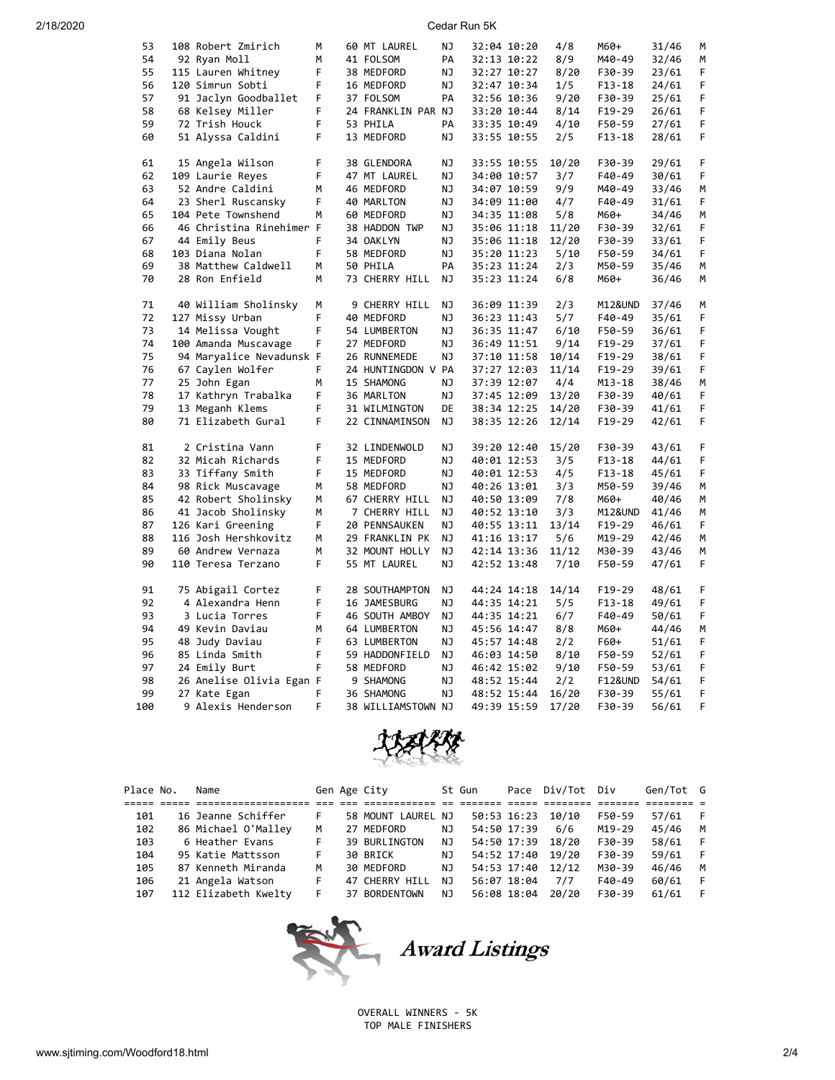| 2/18/2020 |  |  |  |
|-----------|--|--|--|

## 2020 Cedar Run 5K

| 53  | 108 Robert Zmirich       | М | 60 MT LAUREL       | ΝJ        | 32:04 10:20 |             | 4/8   | M60+       | 31/46 | м |
|-----|--------------------------|---|--------------------|-----------|-------------|-------------|-------|------------|-------|---|
| 54  | 92 Ryan Moll             | M | 41 FOLSOM          | PA        |             | 32:13 10:22 | 8/9   | M40-49     | 32/46 | M |
| 55  | 115 Lauren Whitney       | F | 38 MEDFORD         | ΝJ        | 32:27 10:27 |             | 8/20  | F30-39     | 23/61 | F |
| 56  | 120 Simrun Sobti         | F | 16 MEDFORD         | ΝJ        |             | 32:47 10:34 | 1/5   | F13-18     | 24/61 | F |
| 57  | 91 Jaclyn Goodballet     | F | 37 FOLSOM          | PA        | 32:56 10:36 |             | 9/20  | F30-39     | 25/61 | F |
| 58  | 68 Kelsey Miller         | F | 24 FRANKLIN PAR NJ |           |             | 33:20 10:44 | 8/14  | $F19-29$   | 26/61 | F |
| 59  | 72 Trish Houck           | F | 53 PHILA           | PA        |             | 33:35 10:49 | 4/10  | F50-59     | 27/61 | F |
| 60  | 51 Alyssa Caldini        | F | 13 MEDFORD         | ΝJ        | 33:55 10:55 |             | 2/5   | $F13 - 18$ | 28/61 | F |
|     |                          |   |                    |           |             |             |       |            |       |   |
| 61  | 15 Angela Wilson         | F | 38 GLENDORA        | ΝJ        | 33:55 10:55 |             | 10/20 | F30-39     | 29/61 | F |
| 62  | 109 Laurie Reyes         | F | 47 MT LAUREL       | ΝJ        | 34:00 10:57 |             | 3/7   | F40-49     | 30/61 | F |
| 63  | 52 Andre Caldini         | M | 46 MEDFORD         | ΝJ        |             | 34:07 10:59 | 9/9   | M40-49     | 33/46 | M |
| 64  | 23 Sherl Ruscansky       | F | 40 MARLTON         | ΝJ        |             | 34:09 11:00 | 4/7   | $F40-49$   | 31/61 | F |
| 65  | 104 Pete Townshend       | М | 60 MEDFORD         | ΝJ        |             | 34:35 11:08 | 5/8   | M60+       | 34/46 | М |
| 66  | 46 Christina Rinehimer F |   | 38 HADDON TWP      | ΝJ        |             | 35:06 11:18 | 11/20 | F30-39     | 32/61 | F |
| 67  | 44 Emily Beus            | F | 34 OAKLYN          | ΝJ        |             | 35:06 11:18 | 12/20 | F30-39     | 33/61 | F |
| 68  | 103 Diana Nolan          | F | 58 MEDFORD         | ΝJ        |             | 35:20 11:23 | 5/10  | F50-59     | 34/61 | F |
| 69  | 38 Matthew Caldwell      | М | 50 PHILA           | PA        |             | 35:23 11:24 | 2/3   | M50-59     | 35/46 | М |
| 70  | 28 Ron Enfield           | M | 73 CHERRY HILL     | ΝJ        |             | 35:23 11:24 | 6/8   | M60+       | 36/46 | M |
|     |                          |   |                    |           |             |             |       |            |       |   |
| 71  | 40 William Sholinsky     | М | 9 CHERRY HILL      | ΝJ        |             | 36:09 11:39 | 2/3   | M12&UND    | 37/46 | м |
| 72  |                          | F | 40 MEDFORD         | ΝJ        |             |             | 5/7   | F40-49     | 35/61 | F |
| 73  | 127 Missy Urban          | F |                    |           | 36:23 11:43 |             |       |            |       | F |
|     | 14 Melissa Vought        |   | 54 LUMBERTON       | NJ        |             | 36:35 11:47 | 6/10  | F50-59     | 36/61 |   |
| 74  | 100 Amanda Muscavage     | F | 27 MEDFORD         | ΝJ        | 36:49 11:51 |             | 9/14  | $F19-29$   | 37/61 | F |
| 75  | 94 Maryalice Nevadunsk F |   | 26 RUNNEMEDE       | NJ        |             | 37:10 11:58 | 10/14 | F19-29     | 38/61 | F |
| 76  | 67 Caylen Wolfer         | F | 24 HUNTINGDON V PA |           |             | 37:27 12:03 | 11/14 | $F19-29$   | 39/61 | F |
| 77  | 25 John Egan             | M | 15 SHAMONG         | ΝJ        |             | 37:39 12:07 | 4/4   | $M13 - 18$ | 38/46 | M |
| 78  | 17 Kathryn Trabalka      | F | 36 MARLTON         | ΝJ        |             | 37:45 12:09 | 13/20 | F30-39     | 40/61 | F |
| 79  | 13 Meganh Klems          | F | 31 WILMINGTON      | DE        |             | 38:34 12:25 | 14/20 | F30-39     | 41/61 | F |
| 80  | 71 Elizabeth Gural       | F | 22 CINNAMINSON     | NJ        |             | 38:35 12:26 | 12/14 | $F19-29$   | 42/61 | F |
| 81  | 2 Cristina Vann          | F | 32 LINDENWOLD      | ΝJ        |             | 39:20 12:40 | 15/20 | F30-39     | 43/61 | F |
| 82  | 32 Micah Richards        | F | 15 MEDFORD         | <b>NJ</b> | 40:01 12:53 |             | 3/5   | $F13 - 18$ | 44/61 | F |
| 83  | 33 Tiffany Smith         | F | 15 MEDFORD         | ΝJ        | 40:01 12:53 |             | 4/5   | F13-18     | 45/61 | F |
| 84  | 98 Rick Muscavage        | М | 58 MEDFORD         | NJ        | 40:26 13:01 |             | 3/3   | M50-59     | 39/46 | М |
| 85  | 42 Robert Sholinsky      | M | 67 CHERRY HILL     | ΝJ        | 40:50 13:09 |             | 7/8   | M60+       | 40/46 | м |
| 86  | 41 Jacob Sholinsky       | М | 7 CHERRY HILL      | NJ        | 40:52 13:10 |             | 3/3   | M12&UND    | 41/46 | м |
| 87  | 126 Kari Greening        | F | 20 PENNSAUKEN      | ΝJ        | 40:55 13:11 |             | 13/14 | $F19-29$   | 46/61 | F |
| 88  | 116 Josh Hershkovitz     | M | 29 FRANKLIN PK     | NJ        | 41:16 13:17 |             | 5/6   | M19-29     | 42/46 | M |
| 89  | 60 Andrew Vernaza        | М | 32 MOUNT HOLLY     | ΝJ        | 42:14 13:36 |             | 11/12 | M30-39     | 43/46 | м |
| 90  | 110 Teresa Terzano       | F |                    | ΝJ        |             |             | 7/10  |            | 47/61 | F |
|     |                          |   | 55 MT LAUREL       |           | 42:52 13:48 |             |       | F50-59     |       |   |
| 91  | 75 Abigail Cortez        | F | 28 SOUTHAMPTON     | NJ        |             | 44:24 14:18 | 14/14 | $F19-29$   | 48/61 | F |
| 92  | 4 Alexandra Henn         | F | 16 JAMESBURG       | ΝJ        | 44:35 14:21 |             | 5/5   | $F13 - 18$ | 49/61 | F |
| 93  | 3 Lucia Torres           | F | 46 SOUTH AMBOY     | ΝJ        | 44:35 14:21 |             | 6/7   | F40-49     | 50/61 | F |
| 94  | 49 Kevin Daviau          | M | 64 LUMBERTON       | ΝJ        | 45:56 14:47 |             | 8/8   | M60+       | 44/46 | M |
| 95  | 48 Judy Daviau           | F | 63 LUMBERTON       | <b>NJ</b> | 45:57 14:48 |             | 2/2   | F60+       | 51/61 | F |
| 96  | 85 Linda Smith           | F | 59 HADDONFIELD     | ΝJ        | 46:03 14:50 |             | 8/10  | F50-59     | 52/61 | F |
| 97  | 24 Emily Burt            | F | 58 MEDFORD         | ΝJ        | 46:42 15:02 |             | 9/10  | F50-59     | 53/61 | F |
| 98  | 26 Anelise Olivia Egan F |   | 9 SHAMONG          | ΝJ        | 48:52 15:44 |             | 2/2   | F12&UND    | 54/61 | F |
| 99  | 27 Kate Egan             | F | 36 SHAMONG         | <b>NJ</b> |             | 48:52 15:44 | 16/20 | F30-39     | 55/61 | F |
| 100 | 9 Alexis Henderson       | F | 38 WILLIAMSTOWN NJ |           |             | 49:39 15:59 | 17/20 | F30-39     | 56/61 | F |
|     |                          |   |                    |           |             |             |       |            |       |   |



| Place No. | Name                 |    | Gen Age City         |     | St Gun      |             | Pace Div/Tot Div |          | Gen/Tot G |     |
|-----------|----------------------|----|----------------------|-----|-------------|-------------|------------------|----------|-----------|-----|
|           |                      |    |                      |     |             |             |                  |          |           |     |
| 101       | 16 Jeanne Schiffer   | F. | 58 MOUNT LAUREL NJ   |     |             | 50:53 16:23 | 10/10            | F50-59   | 57/61     | - F |
| 102       | 86 Michael O'Malley  | М  | 27 MEDFORD           | ΝJ  | 54:50 17:39 |             | 6/6              | $M19-29$ | 45/46     | м   |
| 103       | 6 Heather Evans      | F. | <b>39 BURLINGTON</b> | NJ. |             | 54:50 17:39 | 18/20            | F30-39   | 58/61     | - F |
| 104       | 95 Katie Mattsson    | F. | 30 BRICK             | NJ. |             | 54:52 17:40 | 19/20            | F30-39   | 59/61     | - F |
| 105       | 87 Kenneth Miranda   | М  | 30 MEDFORD           | NJ. |             | 54:53 17:40 | 12/12            | M30-39   | 46/46     | M   |
| 106       | 21 Angela Watson     | F  | 47 CHERRY HILL       | NJ  | 56:07 18:04 |             | 7/7              | $F40-49$ | 60/61     | - F |
| 107       | 112 Elizabeth Kwelty | F. | 37 BORDENTOWN        | NJ. | 56:08 18:04 |             | 20/20            | F30-39   | 61/61     | - F |



OVERALL WINNERS - 5K TOP MALE FINISHERS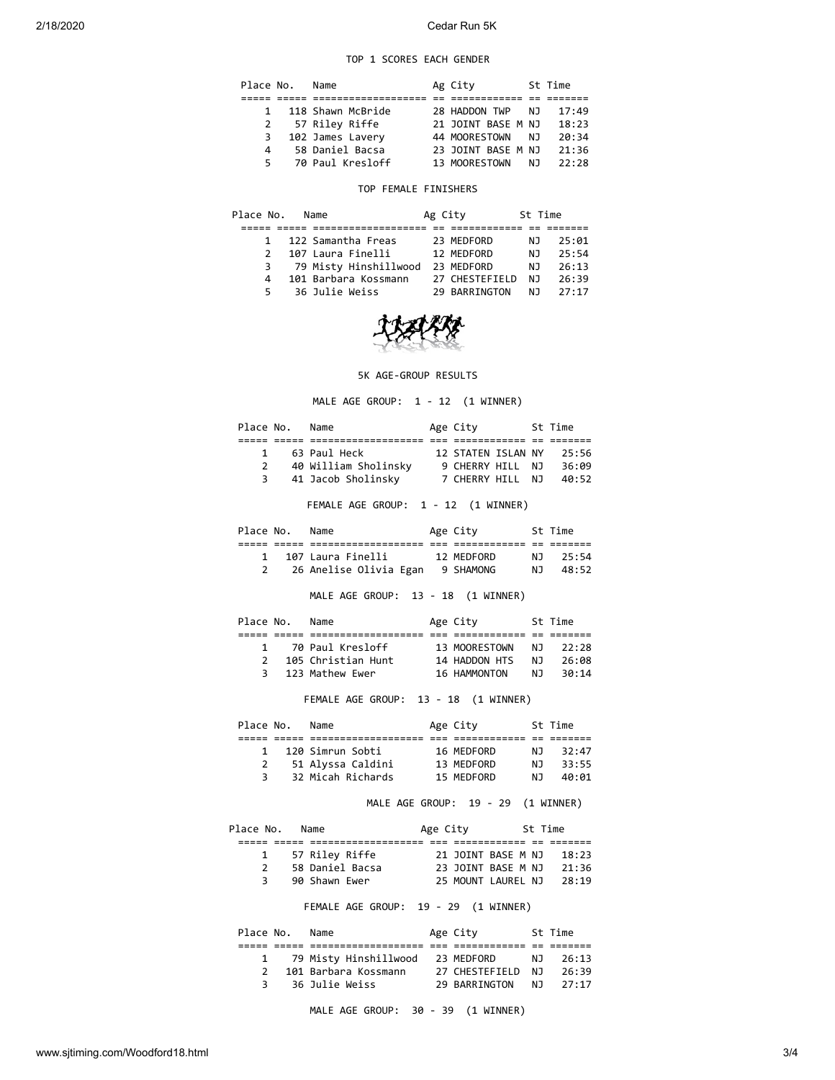### 2/18/2020 Cedar Run 5K

#### TOP 1 SCORES EACH GENDER

| Place No.    | Name              | Ag City            |     | St Time |
|--------------|-------------------|--------------------|-----|---------|
|              |                   |                    |     |         |
| $\mathbf{1}$ | 118 Shawn McBride | 28 HADDON TWP      | N J | 17:49   |
|              | 2 57 Riley Riffe  | 21 JOINT BASE M NJ |     | 18:23   |
| 3            | 102 James Lavery  | 44 MOORESTOWN      | NJ. | 20:34   |
| 4            | 58 Daniel Bacsa   | 23 JOINT BASE M NJ |     | 21:36   |
| 5.           | 70 Paul Kresloff  | 13 MOORESTOWN      | N J | 22:28   |

### TOP FEMALE FINISHERS

| Place No.     | Name                  | Ag City |                | St Time |       |
|---------------|-----------------------|---------|----------------|---------|-------|
|               |                       |         |                |         |       |
| $\mathbf{1}$  | 122 Samantha Freas    |         | 23 MEDFORD     | NJ.     | 25:01 |
| $\mathcal{P}$ | 107 Laura Finelli     |         | 12 MEDFORD     | N J     | 75:54 |
| 3             | 79 Misty Hinshillwood |         | 23 MEDFORD     | N J     | 26:13 |
| 4             | 101 Barbara Kossmann  |         | 27 CHESTEFIELD | NJ.     | 26:39 |
| 5.            | 36 Julie Weiss        |         | 29 BARRINGTON  | N J     | 27:17 |



# 5K AGE-GROUP RESULTS

MALE AGE GROUP: 1 - 12 (1 WINNER)

| Place No. | Name                 | Age City           |  | St Time |  |
|-----------|----------------------|--------------------|--|---------|--|
|           |                      |                    |  |         |  |
| 1         | 63 Paul Heck         | 12 STATEN ISLAN NY |  | 25:56   |  |
|           | 40 William Sholinsky | 9 CHERRY HILL NJ   |  | 36:09   |  |
| 3         | 41 Jacob Sholinsky   | 7 CHERRY HILL NJ   |  | 40:52   |  |
|           |                      |                    |  |         |  |

FEMALE AGE GROUP: 1 - 12 (1 WINNER)

| Place No. | Name                   | Age City   |     | St Time |
|-----------|------------------------|------------|-----|---------|
|           |                        |            |     |         |
|           | 107 Laura Finelli      | 12 MEDFORD | N J | 25:54   |
|           | 26 Anelise Olivia Egan | 9 SHAMONG  | N J | 48:52   |

MALE AGE GROUP: 13 - 18 (1 WINNER)

| Place No.     |             | Name               | Age City         |     | St Time |
|---------------|-------------|--------------------|------------------|-----|---------|
|               |             |                    |                  |     |         |
|               | $\mathbf 1$ | 70 Paul Kresloff   | 13 MOORESTOWN NJ |     | 22:28   |
| $\mathcal{P}$ |             | 105 Christian Hunt | 14 HADDON HTS    | N J | 26:98   |
| 3             |             | 123 Mathew Ewer    | 16 HAMMONTON     | N٦  | 30:14   |

FEMALE AGE GROUP: 13 - 18 (1 WINNER)

| Place No.    | Name              | Age City   |     | St Time |  |
|--------------|-------------------|------------|-----|---------|--|
|              |                   |            |     |         |  |
| $\mathbf{1}$ | 120 Simrun Sobti  | 16 MEDFORD | NJ. | 32:47   |  |
|              | 51 Alyssa Caldini | 13 MEDFORD | NJ. | 33:55   |  |
|              | 32 Micah Richards | 15 MEDFORD | N J | 40:01   |  |

MALE AGE GROUP: 19 - 29 (1 WINNER)

| Place No.     | Name             | Age City |                    | St Time |  |  |  |
|---------------|------------------|----------|--------------------|---------|--|--|--|
|               |                  |          |                    |         |  |  |  |
|               | 1 57 Riley Riffe |          | 21 JOINT BASE M NJ | 18:23   |  |  |  |
| $\mathcal{P}$ | 58 Daniel Bacsa  |          | 23 JOINT BASE M NJ | 21:36   |  |  |  |
| 3             | 90 Shawn Ewer    |          | 25 MOUNT LAUREL NJ | 28:19   |  |  |  |
|               |                  |          |                    |         |  |  |  |

FEMALE AGE GROUP: 19 - 29 (1 WINNER)

| Place No.     | Name                               | Age City       |     | St Time |
|---------------|------------------------------------|----------------|-----|---------|
|               |                                    |                |     |         |
|               | 1 79 Misty Hinshillwood            | 23 MEDFORD     | NJ. | 26:13   |
| $\mathcal{P}$ | 101 Barbara Kossmann               | 27 CHESTEFIELD | N J | 26:39   |
| 3             | 36 Julie Weiss                     | 29 BARRINGTON  | NJ  | 27:17   |
|               | MALE AGE GROUP: 30 - 39 (1 WINNER) |                |     |         |